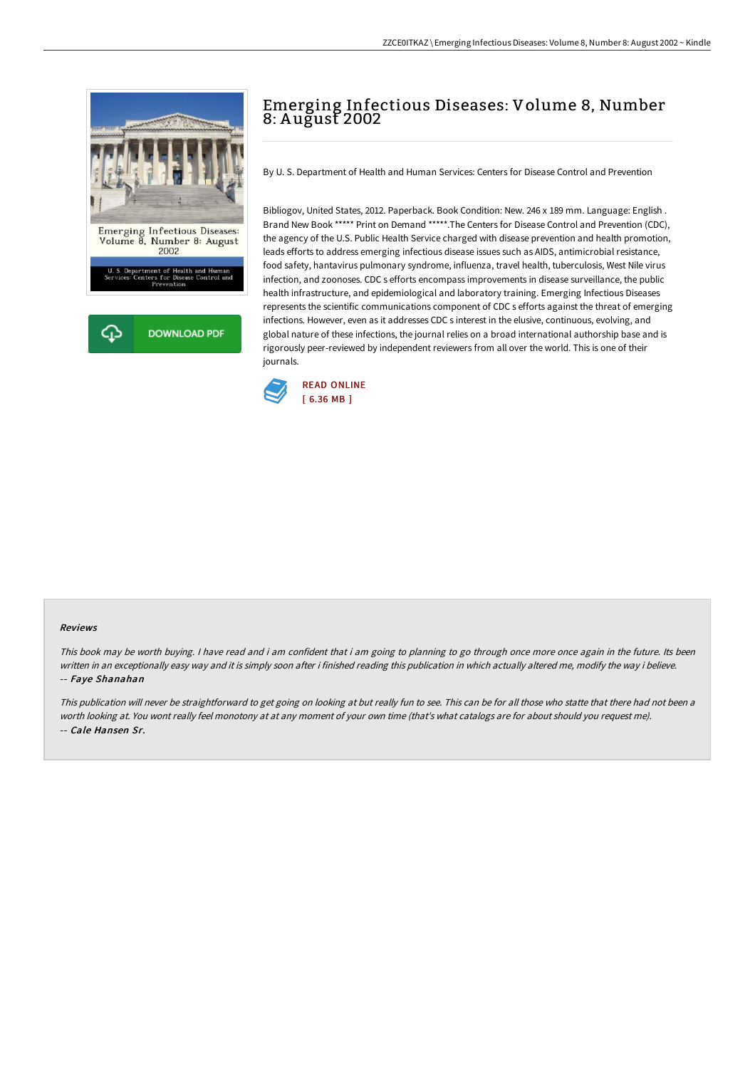

## Emerging Infectious Diseases: Volume 8, Number 8: A ugust 2002

By U. S. Department of Health and Human Services: Centers for Disease Control and Prevention

Bibliogov, United States, 2012. Paperback. Book Condition: New. 246 x 189 mm. Language: English . Brand New Book \*\*\*\*\* Print on Demand \*\*\*\*\*.The Centers for Disease Control and Prevention (CDC), the agency of the U.S. Public Health Service charged with disease prevention and health promotion, leads efforts to address emerging infectious disease issues such as AIDS, antimicrobial resistance, food safety, hantavirus pulmonary syndrome, influenza, travel health, tuberculosis, West Nile virus infection, and zoonoses. CDC s efforts encompass improvements in disease surveillance, the public health infrastructure, and epidemiological and laboratory training. Emerging Infectious Diseases represents the scientific communications component of CDC s efforts against the threat of emerging infections. However, even as it addresses CDC s interest in the elusive, continuous, evolving, and global nature of these infections, the journal relies on a broad international authorship base and is rigorously peer-reviewed by independent reviewers from all over the world. This is one of their journals.



## Reviews

This book may be worth buying. I have read and i am confident that i am going to planning to go through once more once again in the future. Its been written in an exceptionally easy way and it is simply soon after i finished reading this publication in which actually altered me, modify the way i believe. -- Faye Shanahan

This publication will never be straightforward to get going on looking at but really fun to see. This can be for all those who statte that there had not been <sup>a</sup> worth looking at. You wont really feel monotony at at any moment of your own time (that's what catalogs are for about should you request me). -- Cale Hansen Sr.